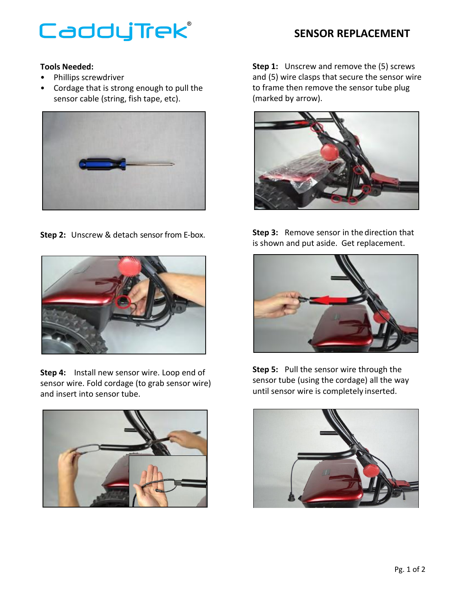## CaddyTrek®

## **SENSOR REPLACEMENT**

## **Tools Needed:**

- Phillips screwdriver
- Cordage that is strong enough to pull the sensor cable (string, fish tape, etc).



**Step 2:** Unscrew & detach sensor from E-box.



**Step 4:** Install new sensor wire. Loop end of sensor wire. Fold cordage (to grab sensor wire) and insert into sensor tube.



**Step 1:** Unscrew and remove the (5) screws and (5) wire clasps that secure the sensor wire to frame then remove the sensor tube plug (marked by arrow).



**Step 3:** Remove sensor in the direction that is shown and put aside. Get replacement.



**Step 5:** Pull the sensor wire through the sensor tube (using the cordage) all the way until sensor wire is completely inserted.